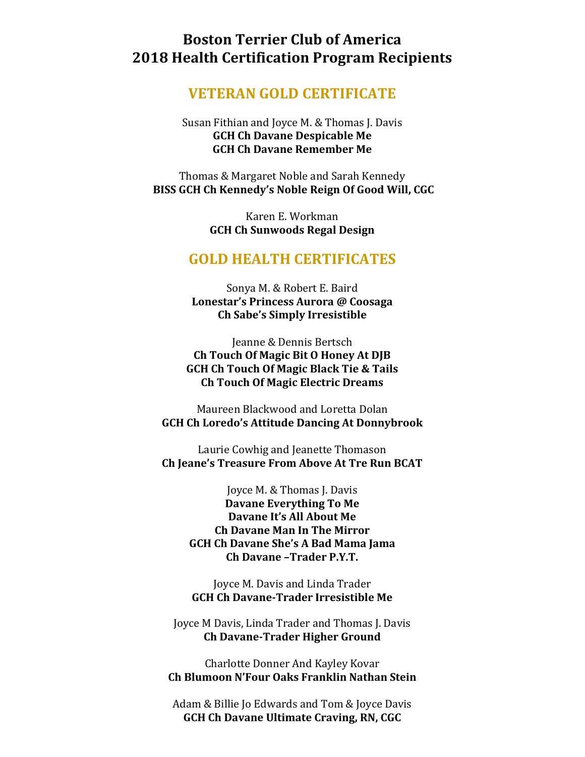# **Boston Terrier Club of America 2018 Health Certification Program Recipients**

### **VETERAN GOLD CERTIFICATE**

#### Susan Fithian and Joyce M. & Thomas J. Davis **GCH Ch Davane Despicable Me GCH Ch Davane Remember Me**

Thomas & Margaret Noble and Sarah Kennedy **BISS GCH Ch Kennedy's Noble Reign Of Good Will, CGC**

> Karen E. Workman **GCH Ch Sunwoods Regal Design**

## **GOLD HEALTH CERTIFICATES**

Sonya M. & Robert E. Baird **Lonestar's Princess Aurora @ Coosaga Ch Sabe's Simply Irresistible**

Jeanne & Dennis Bertsch **Ch Touch Of Magic Bit O Honey At DJB GCH Ch Touch Of Magic Black Tie & Tails Ch Touch Of Magic Electric Dreams**

Maureen Blackwood and Loretta Dolan **GCH Ch Loredo's Attitude Dancing At Donnybrook**

Laurie Cowhig and Jeanette Thomason **Ch Jeane's Treasure From Above At Tre Run BCAT**

> Joyce M. & Thomas J. Davis **Davane Everything To Me Davane It's All About Me Ch Davane Man In The Mirror GCH Ch Davane She's A Bad Mama Jama Ch Davane –Trader P.Y.T.**

Joyce M. Davis and Linda Trader **GCH Ch Davane-Trader Irresistible Me**

Joyce M Davis, Linda Trader and Thomas J. Davis **Ch Davane-Trader Higher Ground**

Charlotte Donner And Kayley Kovar **Ch Blumoon N'Four Oaks Franklin Nathan Stein**

Adam & Billie Jo Edwards and Tom & Joyce Davis **GCH Ch Davane Ultimate Craving, RN, CGC**